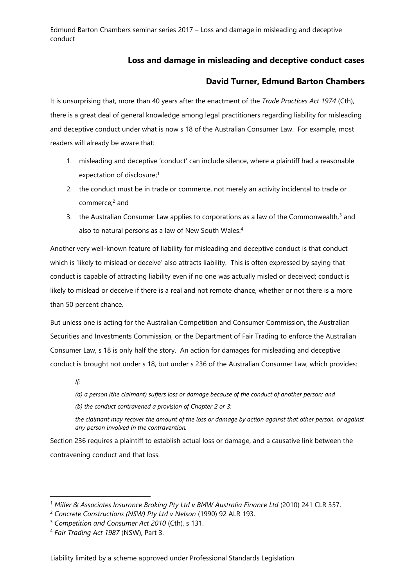## **Loss and damage in misleading and deceptive conduct cases**

## **David Turner, Edmund Barton Chambers**

It is unsurprising that, more than 40 years after the enactment of the *Trade Practices Act 1974* (Cth), there is a great deal of general knowledge among legal practitioners regarding liability for misleading and deceptive conduct under what is now s 18 of the Australian Consumer Law. For example, most readers will already be aware that:

- 1. misleading and deceptive 'conduct' can include silence, where a plaintiff had a reasonable expectation of disclosure; 1
- 2. the conduct must be in trade or commerce, not merely an activity incidental to trade or commerce; <sup>2</sup> and
- 3. the Australian Consumer Law applies to corporations as a law of the Commonwealth, $3$  and also to natural persons as a law of New South Wales.<sup>4</sup>

Another very well-known feature of liability for misleading and deceptive conduct is that conduct which is 'likely to mislead or deceive' also attracts liability. This is often expressed by saying that conduct is capable of attracting liability even if no one was actually misled or deceived; conduct is likely to mislead or deceive if there is a real and not remote chance, whether or not there is a more than 50 percent chance.

But unless one is acting for the Australian Competition and Consumer Commission, the Australian Securities and Investments Commission, or the Department of Fair Trading to enforce the Australian Consumer Law, s 18 is only half the story. An action for damages for misleading and deceptive conduct is brought not under s 18, but under s 236 of the Australian Consumer Law, which provides:

*If:* 

-

*(a) a person (the claimant) suffers loss or damage because of the conduct of another person; and (b) the conduct contravened a provision of Chapter 2 or 3;* 

*the claimant may recover the amount of the loss or damage by action against that other person, or against any person involved in the contravention.*

Section 236 requires a plaintiff to establish actual loss or damage, and a causative link between the contravening conduct and that loss.

<sup>1</sup> *Miller & Associates Insurance Broking Pty Ltd v BMW Australia Finance Ltd* (2010) 241 CLR 357.

<sup>2</sup> *Concrete Constructions (NSW) Pty Ltd v Nelson* (1990) 92 ALR 193.

<sup>3</sup> *Competition and Consumer Act 2010* (Cth), s 131.

<sup>4</sup> *Fair Trading Act 1987* (NSW), Part 3.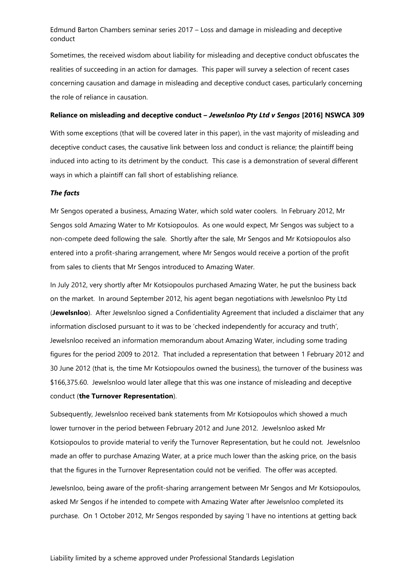Sometimes, the received wisdom about liability for misleading and deceptive conduct obfuscates the realities of succeeding in an action for damages. This paper will survey a selection of recent cases concerning causation and damage in misleading and deceptive conduct cases, particularly concerning the role of reliance in causation.

#### **Reliance on misleading and deceptive conduct –** *Jewelsnloo Pty Ltd v Sengos* **[2016] NSWCA 309**

With some exceptions (that will be covered later in this paper), in the vast majority of misleading and deceptive conduct cases, the causative link between loss and conduct is reliance; the plaintiff being induced into acting to its detriment by the conduct. This case is a demonstration of several different ways in which a plaintiff can fall short of establishing reliance.

#### *The facts*

Mr Sengos operated a business, Amazing Water, which sold water coolers. In February 2012, Mr Sengos sold Amazing Water to Mr Kotsiopoulos. As one would expect, Mr Sengos was subject to a non-compete deed following the sale. Shortly after the sale, Mr Sengos and Mr Kotsiopoulos also entered into a profit-sharing arrangement, where Mr Sengos would receive a portion of the profit from sales to clients that Mr Sengos introduced to Amazing Water.

In July 2012, very shortly after Mr Kotsiopoulos purchased Amazing Water, he put the business back on the market. In around September 2012, his agent began negotiations with Jewelsnloo Pty Ltd (**Jewelsnloo**). After Jewelsnloo signed a Confidentiality Agreement that included a disclaimer that any information disclosed pursuant to it was to be 'checked independently for accuracy and truth', Jewelsnloo received an information memorandum about Amazing Water, including some trading figures for the period 2009 to 2012. That included a representation that between 1 February 2012 and 30 June 2012 (that is, the time Mr Kotsiopoulos owned the business), the turnover of the business was \$166,375.60. Jewelsnloo would later allege that this was one instance of misleading and deceptive conduct (**the Turnover Representation**).

Subsequently, Jewelsnloo received bank statements from Mr Kotsiopoulos which showed a much lower turnover in the period between February 2012 and June 2012. Jewelsnloo asked Mr Kotsiopoulos to provide material to verify the Turnover Representation, but he could not. Jewelsnloo made an offer to purchase Amazing Water, at a price much lower than the asking price, on the basis that the figures in the Turnover Representation could not be verified. The offer was accepted.

Jewelsnloo, being aware of the profit-sharing arrangement between Mr Sengos and Mr Kotsiopoulos, asked Mr Sengos if he intended to compete with Amazing Water after Jewelsnloo completed its purchase. On 1 October 2012, Mr Sengos responded by saying 'I have no intentions at getting back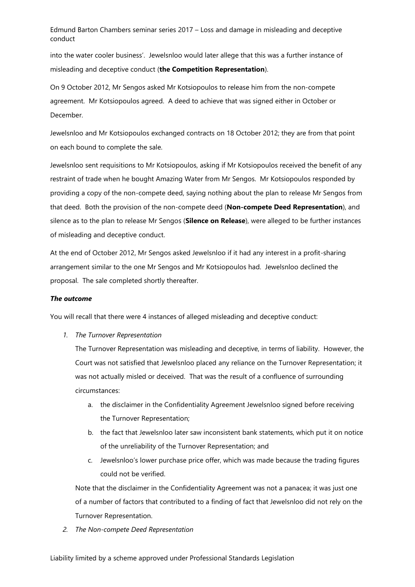into the water cooler business'. Jewelsnloo would later allege that this was a further instance of misleading and deceptive conduct (**the Competition Representation**).

On 9 October 2012, Mr Sengos asked Mr Kotsiopoulos to release him from the non-compete agreement. Mr Kotsiopoulos agreed. A deed to achieve that was signed either in October or December.

Jewelsnloo and Mr Kotsiopoulos exchanged contracts on 18 October 2012; they are from that point on each bound to complete the sale.

Jewelsnloo sent requisitions to Mr Kotsiopoulos, asking if Mr Kotsiopoulos received the benefit of any restraint of trade when he bought Amazing Water from Mr Sengos. Mr Kotsiopoulos responded by providing a copy of the non-compete deed, saying nothing about the plan to release Mr Sengos from that deed. Both the provision of the non-compete deed (**Non-compete Deed Representation**), and silence as to the plan to release Mr Sengos (**Silence on Release**), were alleged to be further instances of misleading and deceptive conduct.

At the end of October 2012, Mr Sengos asked Jewelsnloo if it had any interest in a profit-sharing arrangement similar to the one Mr Sengos and Mr Kotsiopoulos had. Jewelsnloo declined the proposal. The sale completed shortly thereafter.

## *The outcome*

You will recall that there were 4 instances of alleged misleading and deceptive conduct:

*1. The Turnover Representation*

The Turnover Representation was misleading and deceptive, in terms of liability. However, the Court was not satisfied that Jewelsnloo placed any reliance on the Turnover Representation; it was not actually misled or deceived. That was the result of a confluence of surrounding circumstances:

- a. the disclaimer in the Confidentiality Agreement Jewelsnloo signed before receiving the Turnover Representation;
- b. the fact that Jewelsnloo later saw inconsistent bank statements, which put it on notice of the unreliability of the Turnover Representation; and
- c. Jewelsnloo's lower purchase price offer, which was made because the trading figures could not be verified.

Note that the disclaimer in the Confidentiality Agreement was not a panacea; it was just one of a number of factors that contributed to a finding of fact that Jewelsnloo did not rely on the Turnover Representation.

*2. The Non-compete Deed Representation*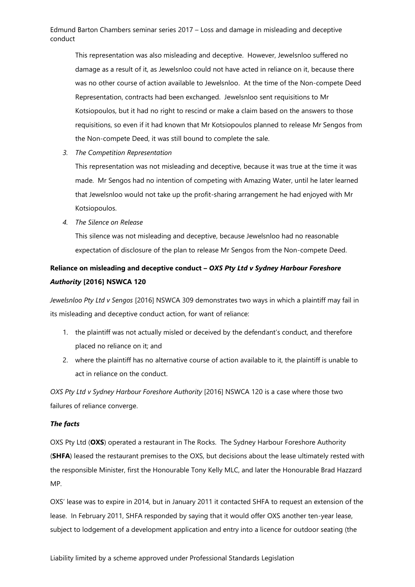This representation was also misleading and deceptive. However, Jewelsnloo suffered no damage as a result of it, as Jewelsnloo could not have acted in reliance on it, because there was no other course of action available to Jewelsnloo. At the time of the Non-compete Deed Representation, contracts had been exchanged. Jewelsnloo sent requisitions to Mr Kotsiopoulos, but it had no right to rescind or make a claim based on the answers to those requisitions, so even if it had known that Mr Kotsiopoulos planned to release Mr Sengos from the Non-compete Deed, it was still bound to complete the sale.

*3. The Competition Representation*

This representation was not misleading and deceptive, because it was true at the time it was made. Mr Sengos had no intention of competing with Amazing Water, until he later learned that Jewelsnloo would not take up the profit-sharing arrangement he had enjoyed with Mr Kotsiopoulos.

*4. The Silence on Release*

This silence was not misleading and deceptive, because Jewelsnloo had no reasonable expectation of disclosure of the plan to release Mr Sengos from the Non-compete Deed.

# **Reliance on misleading and deceptive conduct –** *OXS Pty Ltd v Sydney Harbour Foreshore Authority* **[2016] NSWCA 120**

*Jewelsnloo Pty Ltd v Sengos* [2016] NSWCA 309 demonstrates two ways in which a plaintiff may fail in its misleading and deceptive conduct action, for want of reliance:

- 1. the plaintiff was not actually misled or deceived by the defendant's conduct, and therefore placed no reliance on it; and
- 2. where the plaintiff has no alternative course of action available to it, the plaintiff is unable to act in reliance on the conduct.

*OXS Pty Ltd v Sydney Harbour Foreshore Authority* [2016] NSWCA 120 is a case where those two failures of reliance converge.

## *The facts*

OXS Pty Ltd (**OXS**) operated a restaurant in The Rocks. The Sydney Harbour Foreshore Authority (**SHFA**) leased the restaurant premises to the OXS, but decisions about the lease ultimately rested with the responsible Minister, first the Honourable Tony Kelly MLC, and later the Honourable Brad Hazzard MP.

OXS' lease was to expire in 2014, but in January 2011 it contacted SHFA to request an extension of the lease. In February 2011, SHFA responded by saying that it would offer OXS another ten-year lease, subject to lodgement of a development application and entry into a licence for outdoor seating (the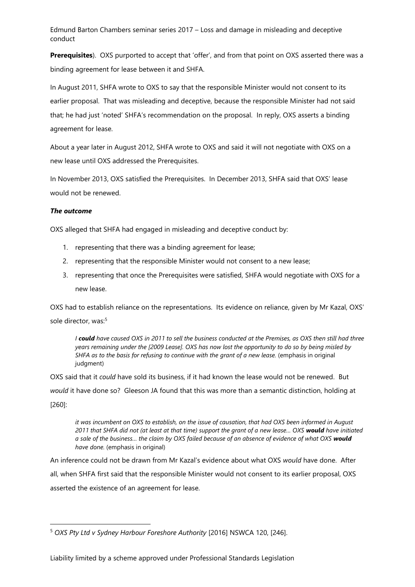**Prerequisites**). OXS purported to accept that 'offer', and from that point on OXS asserted there was a binding agreement for lease between it and SHFA.

In August 2011, SHFA wrote to OXS to say that the responsible Minister would not consent to its earlier proposal. That was misleading and deceptive, because the responsible Minister had not said that; he had just 'noted' SHFA's recommendation on the proposal. In reply, OXS asserts a binding agreement for lease.

About a year later in August 2012, SHFA wrote to OXS and said it will not negotiate with OXS on a new lease until OXS addressed the Prerequisites.

In November 2013, OXS satisfied the Prerequisites. In December 2013, SHFA said that OXS' lease would not be renewed.

## *The outcome*

 $\overline{\phantom{a}}$ 

OXS alleged that SHFA had engaged in misleading and deceptive conduct by:

- 1. representing that there was a binding agreement for lease;
- 2. representing that the responsible Minister would not consent to a new lease;
- 3. representing that once the Prerequisites were satisfied, SHFA would negotiate with OXS for a new lease.

OXS had to establish reliance on the representations. Its evidence on reliance, given by Mr Kazal, OXS' sole director, was:<sup>5</sup>

*I could have caused OXS in 2011 to sell the business conducted at the Premises, as OXS then still had three years remaining under the [2009 Lease]. OXS has now lost the opportunity to do so by being misled by SHFA as to the basis for refusing to continue with the grant of a new lease.* (emphasis in original judgment)

OXS said that it *could* have sold its business, if it had known the lease would not be renewed. But *would* it have done so? Gleeson JA found that this was more than a semantic distinction, holding at [260]:

*it was incumbent on OXS to establish, on the issue of causation, that had OXS been informed in August 2011 that SHFA did not (at least at that time) support the grant of a new lease… OXS would have initiated a sale of the business… the claim by OXS failed because of an absence of evidence of what OXS would have done.* (emphasis in original)

An inference could not be drawn from Mr Kazal's evidence about what OXS *would* have done. After all, when SHFA first said that the responsible Minister would not consent to its earlier proposal, OXS asserted the existence of an agreement for lease.

<sup>5</sup> *OXS Pty Ltd v Sydney Harbour Foreshore Authority* [2016] NSWCA 120, [246].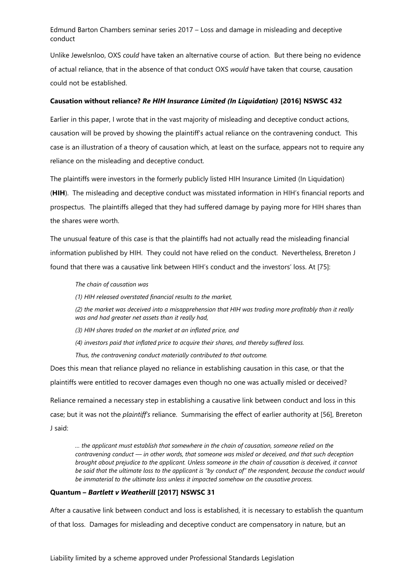Unlike Jewelsnloo, OXS *could* have taken an alternative course of action. But there being no evidence of actual reliance, that in the absence of that conduct OXS *would* have taken that course, causation could not be established.

#### **Causation without reliance?** *Re HIH Insurance Limited (In Liquidation)* **[2016] NSWSC 432**

Earlier in this paper, I wrote that in the vast majority of misleading and deceptive conduct actions, causation will be proved by showing the plaintiff's actual reliance on the contravening conduct. This case is an illustration of a theory of causation which, at least on the surface, appears not to require any reliance on the misleading and deceptive conduct.

The plaintiffs were investors in the formerly publicly listed HIH Insurance Limited (In Liquidation)

(**HIH**). The misleading and deceptive conduct was misstated information in HIH's financial reports and prospectus. The plaintiffs alleged that they had suffered damage by paying more for HIH shares than the shares were worth.

The unusual feature of this case is that the plaintiffs had not actually read the misleading financial information published by HIH. They could not have relied on the conduct. Nevertheless, Brereton J found that there was a causative link between HIH's conduct and the investors' loss. At [75]:

*The chain of causation was* 

*(1) HIH released overstated financial results to the market,* 

*(2) the market was deceived into a misapprehension that HIH was trading more profitably than it really was and had greater net assets than it really had,* 

*(3) HIH shares traded on the market at an inflated price, and* 

*(4) investors paid that inflated price to acquire their shares, and thereby suffered loss.* 

*Thus, the contravening conduct materially contributed to that outcome.*

Does this mean that reliance played no reliance in establishing causation in this case, or that the plaintiffs were entitled to recover damages even though no one was actually misled or deceived?

Reliance remained a necessary step in establishing a causative link between conduct and loss in this case; but it was not the *plaintiff's* reliance. Summarising the effect of earlier authority at [56], Brereton J said:

*… the applicant must establish that somewhere in the chain of causation, someone relied on the contravening conduct — in other words, that someone was misled or deceived, and that such deception brought about prejudice to the applicant. Unless someone in the chain of causation is deceived, it cannot be said that the ultimate loss to the applicant is "by conduct of" the respondent, because the conduct would be immaterial to the ultimate loss unless it impacted somehow on the causative process.*

#### **Quantum –** *Bartlett v Weatherill* **[2017] NSWSC 31**

After a causative link between conduct and loss is established, it is necessary to establish the quantum of that loss. Damages for misleading and deceptive conduct are compensatory in nature, but an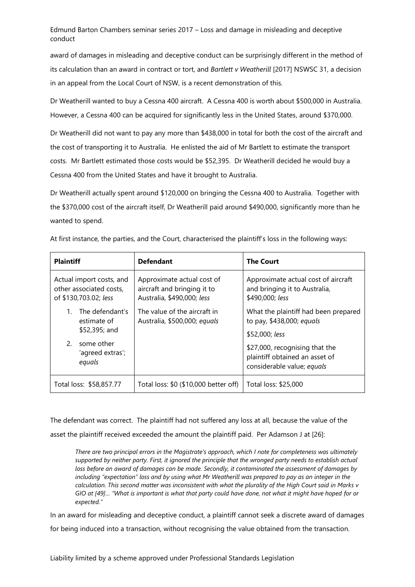award of damages in misleading and deceptive conduct can be surprisingly different in the method of its calculation than an award in contract or tort, and *Bartlett v Weatherill* [2017] NSWSC 31, a decision in an appeal from the Local Court of NSW, is a recent demonstration of this.

Dr Weatherill wanted to buy a Cessna 400 aircraft. A Cessna 400 is worth about \$500,000 in Australia. However, a Cessna 400 can be acquired for significantly less in the United States, around \$370,000.

Dr Weatherill did not want to pay any more than \$438,000 in total for both the cost of the aircraft and the cost of transporting it to Australia. He enlisted the aid of Mr Bartlett to estimate the transport costs. Mr Bartlett estimated those costs would be \$52,395. Dr Weatherill decided he would buy a Cessna 400 from the United States and have it brought to Australia.

Dr Weatherill actually spent around \$120,000 on bringing the Cessna 400 to Australia. Together with the \$370,000 cost of the aircraft itself, Dr Weatherill paid around \$490,000, significantly more than he wanted to spend.

| <b>Plaintiff</b>                                                             | <b>Defendant</b>                                                                        | <b>The Court</b>                                                                               |
|------------------------------------------------------------------------------|-----------------------------------------------------------------------------------------|------------------------------------------------------------------------------------------------|
| Actual import costs, and<br>other associated costs,<br>of \$130,703.02; less | Approximate actual cost of<br>aircraft and bringing it to<br>Australia, \$490,000; less | Approximate actual cost of aircraft<br>and bringing it to Australia,<br>\$490,000; less        |
| The defendant's<br>estimate of<br>\$52,395; and                              | The value of the aircraft in<br>Australia, \$500,000; equals                            | What the plaintiff had been prepared<br>to pay, \$438,000; equals<br>\$52,000; less            |
| 2.<br>some other<br>'agreed extras';<br>equals                               |                                                                                         | \$27,000, recognising that the<br>plaintiff obtained an asset of<br>considerable value; equals |
| Total loss: \$58,857.77                                                      | Total loss: \$0 (\$10,000 better off)                                                   | Total loss: \$25,000                                                                           |

At first instance, the parties, and the Court, characterised the plaintiff's loss in the following ways:

The defendant was correct. The plaintiff had not suffered any loss at all, because the value of the asset the plaintiff received exceeded the amount the plaintiff paid. Per Adamson J at [26]:

*There are two principal errors in the Magistrate's approach, which I note for completeness was ultimately supported by neither party. First, it ignored the principle that the wronged party needs to establish actual loss before an award of damages can be made. Secondly, it contaminated the assessment of damages by including "expectation" loss and by using what Mr Weatherill was prepared to pay as an integer in the calculation. This second matter was inconsistent with what the plurality of the High Court said in Marks v GIO at [49]… "What is important is what that party could have done, not what it might have hoped for or expected."*

In an award for misleading and deceptive conduct, a plaintiff cannot seek a discrete award of damages for being induced into a transaction, without recognising the value obtained from the transaction.